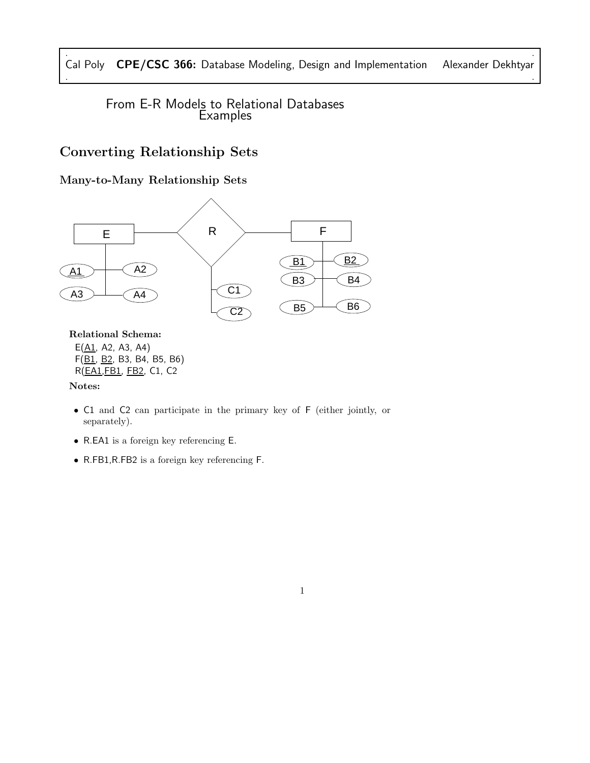. . Cal Poly CPE/CSC 366: Database Modeling, Design and Implementation Alexander Dekhtyar . .

From E-R Models to Relational Databases **Examples** 

# Converting Relationship Sets

Many-to-Many Relationship Sets



Relational Schema:

 $E(\underline{A1}, A2, A3, A4)$ F(B1, B2, B3, B4, B5, B6) R(EA1,FB1, FB2, C1, C2

Notes:

• C1 and C2 can participate in the primary key of F (either jointly, or separately).

1

- R.EA1 is a foreign key referencing E.
- R.FB1,R.FB2 is a foreign key referencing F.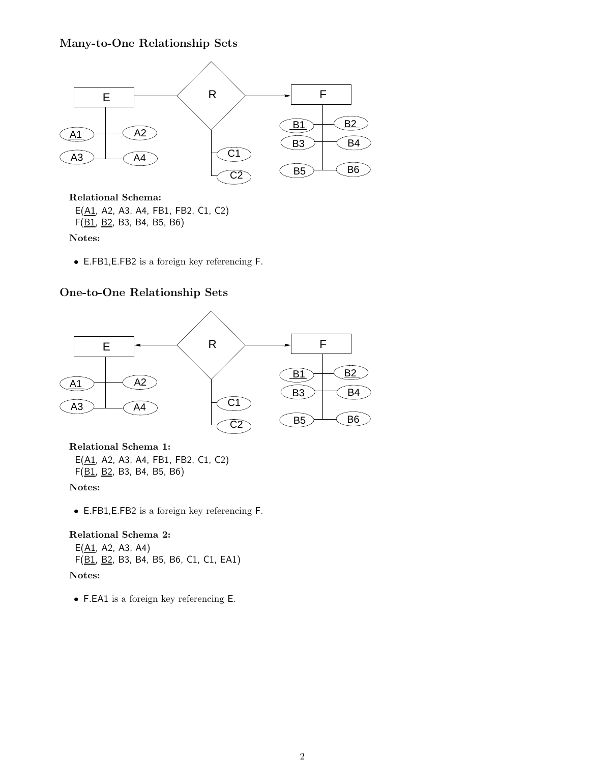## Many-to-One Relationship Sets



Relational Schema:

E(A1, A2, A3, A4, FB1, FB2, C1, C2)  $F(\underline{B1}, \underline{B2}, B3, B4, B5, B6)$ 

Notes:

• E.FB1,E.FB2 is a foreign key referencing F.

## One-to-One Relationship Sets



Relational Schema 1: E(A1, A2, A3, A4, FB1, FB2, C1, C2) F(B1, B2, B3, B4, B5, B6)

Notes:

• E.FB1,E.FB2 is a foreign key referencing F.

### Relational Schema 2:

 $E(\underline{A1}, A2, A3, A4)$ F(B1, B2, B3, B4, B5, B6, C1, C1, EA1)

## Notes:

• F.EA1 is a foreign key referencing E.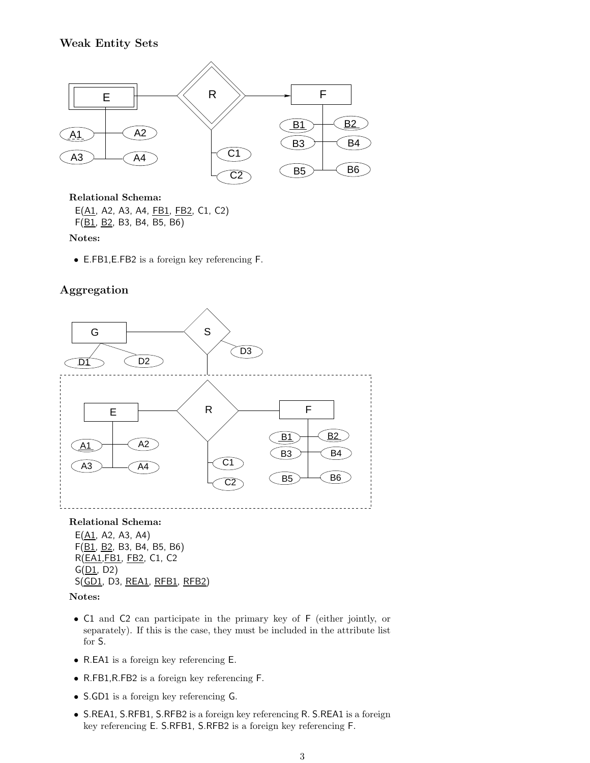## Weak Entity Sets



Relational Schema:

E(A1, A2, A3, A4, FB1, FB2, C1, C2) F(B1, B2, B3, B4, B5, B6)

Notes:

• E.FB1,E.FB2 is a foreign key referencing F.

## Aggregation



### Relational Schema:

 $E(\underline{A1}, A2, A3, A4)$ F(B1, B2, B3, B4, B5, B6) R(EA1,FB1, FB2, C1, C2  $G(\underline{D1}, D2)$ S(GD1, D3, REA1, RFB1, RFB2)

#### Notes:

- C1 and C2 can participate in the primary key of F (either jointly, or separately). If this is the case, they must be included in the attribute list for S.
- R.EA1 is a foreign key referencing E.
- R.FB1,R.FB2 is a foreign key referencing F.
- S.GD1 is a foreign key referencing G.
- S.REA1, S.RFB1, S.RFB2 is a foreign key referencing R. S.REA1 is a foreign key referencing E. S.RFB1, S.RFB2 is a foreign key referencing F.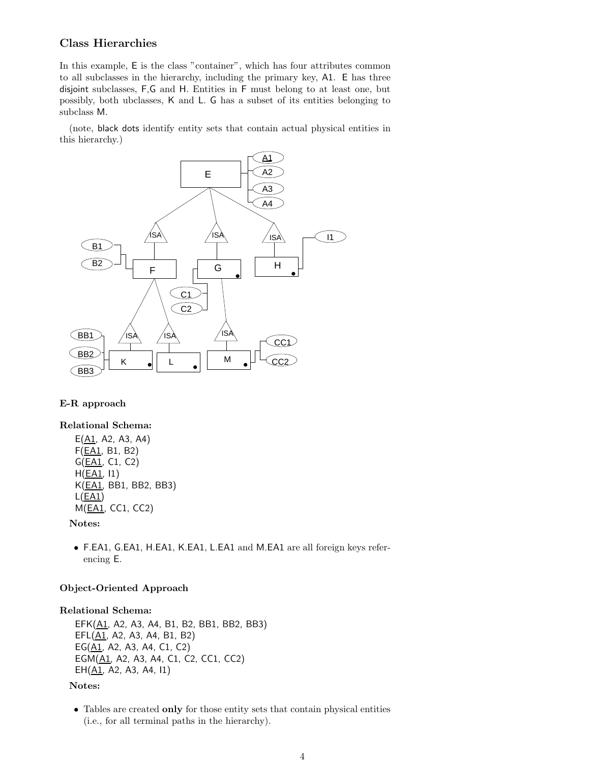### Class Hierarchies

In this example, E is the class "container", which has four attributes common to all subclasses in the hierarchy, including the primary key, A1. E has three disjoint subclasses, F,G and H. Entities in F must belong to at least one, but possibly, both ubclasses, K and L. G has a subset of its entities belonging to subclass M.

(note, black dots identify entity sets that contain actual physical entities in this hierarchy.)



## E-R approach

### Relational Schema:

 $E(\underline{A1}, A2, A3, A4)$ F(EA1, B1, B2) G(EA1, C1, C2) H(EA1, I1) K(EA1, BB1, BB2, BB3)  $L(EA1)$ M(EA1, CC1, CC2)

#### Notes:

• F.EA1, G.EA1, H.EA1, K.EA1, L.EA1 and M.EA1 are all foreign keys referencing E.

#### Object-Oriented Approach

#### Relational Schema:

EFK(A1, A2, A3, A4, B1, B2, BB1, BB2, BB3) EFL(A1, A2, A3, A4, B1, B2) EG(A1, A2, A3, A4, C1, C2) EGM(A1, A2, A3, A4, C1, C2, CC1, CC2)  $EH(\underline{A1}, A2, A3, A4, 11)$ 

#### Notes:

• Tables are created only for those entity sets that contain physical entities (i.e., for all terminal paths in the hierarchy).